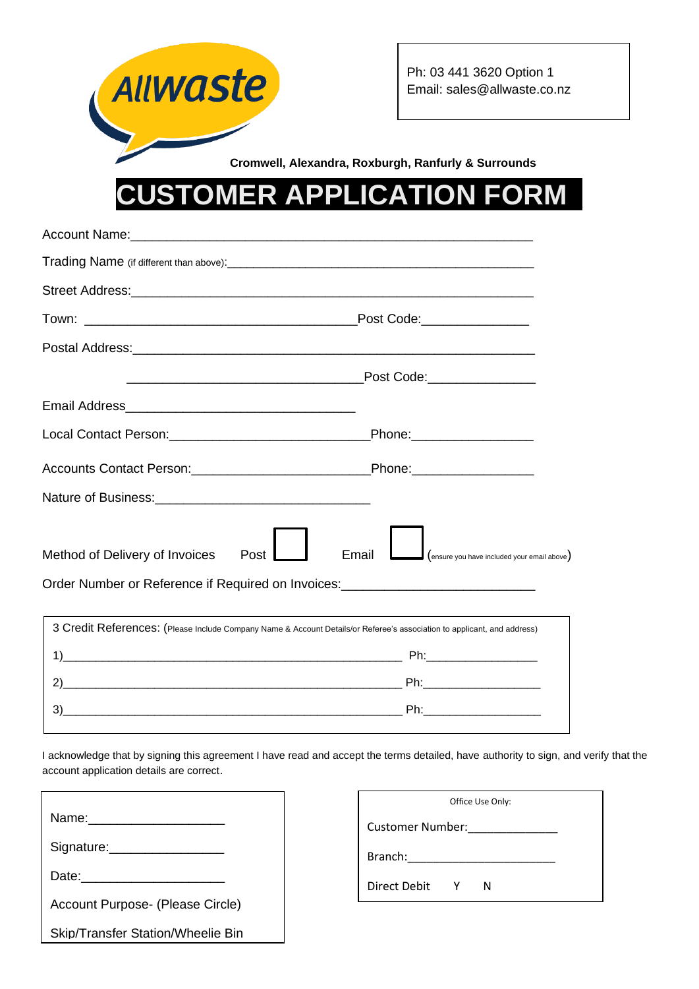

## **ER APPLICATION FORM**

| Method of Delivery of Invoices<br>Post                                                                                  | $\Box$ (ensure you have included your email above)<br>Email |  |  |  |  |
|-------------------------------------------------------------------------------------------------------------------------|-------------------------------------------------------------|--|--|--|--|
| Order Number or Reference if Required on Invoices: _____________________________                                        |                                                             |  |  |  |  |
| 3 Credit References: (Please Include Company Name & Account Details/or Referee's association to applicant, and address) |                                                             |  |  |  |  |
|                                                                                                                         |                                                             |  |  |  |  |
|                                                                                                                         |                                                             |  |  |  |  |
| 3)                                                                                                                      |                                                             |  |  |  |  |
|                                                                                                                         |                                                             |  |  |  |  |

I acknowledge that by signing this agreement I have read and accept the terms detailed, have authority to sign, and verify that the account application details are correct.

| Name: _______________                    |  |  |
|------------------------------------------|--|--|
| Signature: __________________            |  |  |
|                                          |  |  |
| Account Purpose- (Please Circle)         |  |  |
| <b>Skip/Transfer Station/Wheelie Bin</b> |  |  |

| Office Use Only: |     |   |  |  |
|------------------|-----|---|--|--|
| Customer Number: |     |   |  |  |
| Branch:          |     |   |  |  |
| Direct Debit     | - Y | N |  |  |
|                  |     |   |  |  |